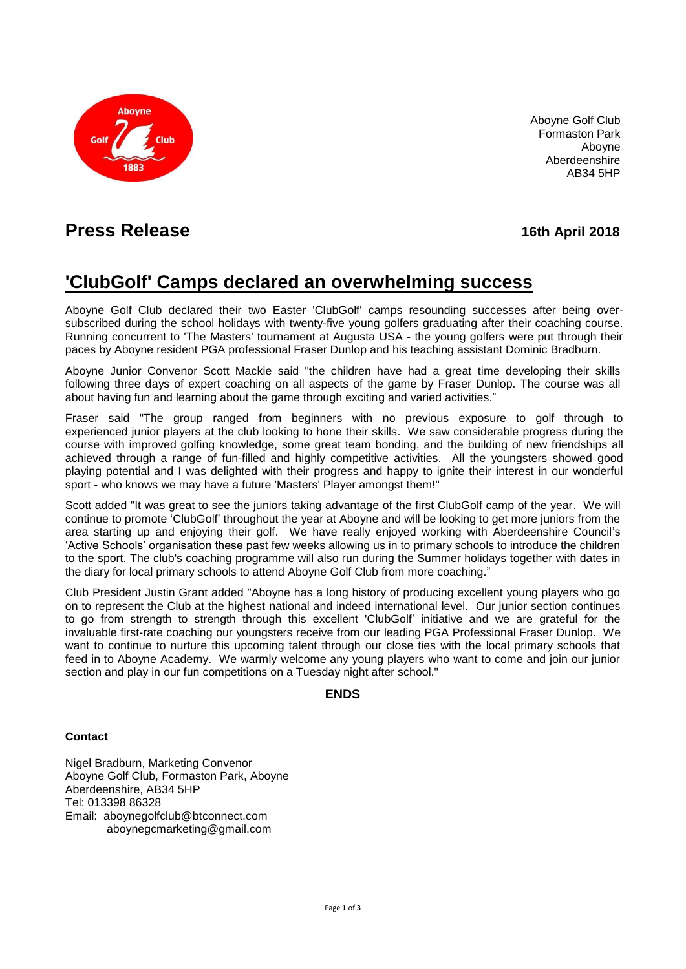

Aboyne Golf Club Formaston Park Aboyne Aberdeenshire AB34 5HP

# **Press Release 16th April 2018**

# **'ClubGolf' Camps declared an overwhelming success**

Aboyne Golf Club declared their two Easter 'ClubGolf' camps resounding successes after being oversubscribed during the school holidays with twenty-five young golfers graduating after their coaching course. Running concurrent to 'The Masters' tournament at Augusta USA - the young golfers were put through their paces by Aboyne resident PGA professional Fraser Dunlop and his teaching assistant Dominic Bradburn.

Aboyne Junior Convenor Scott Mackie said "the children have had a great time developing their skills following three days of expert coaching on all aspects of the game by Fraser Dunlop. The course was all about having fun and learning about the game through exciting and varied activities."

Fraser said "The group ranged from beginners with no previous exposure to golf through to experienced junior players at the club looking to hone their skills. We saw considerable progress during the course with improved golfing knowledge, some great team bonding, and the building of new friendships all achieved through a range of fun-filled and highly competitive activities. All the youngsters showed good playing potential and I was delighted with their progress and happy to ignite their interest in our wonderful sport - who knows we may have a future 'Masters' Player amongst them!"

Scott added "It was great to see the juniors taking advantage of the first ClubGolf camp of the year. We will continue to promote 'ClubGolf' throughout the year at Aboyne and will be looking to get more juniors from the area starting up and enjoying their golf. We have really enjoyed working with Aberdeenshire Council's 'Active Schools' organisation these past few weeks allowing us in to primary schools to introduce the children to the sport. The club's coaching programme will also run during the Summer holidays together with dates in the diary for local primary schools to attend Aboyne Golf Club from more coaching."

Club President Justin Grant added "Aboyne has a long history of producing excellent young players who go on to represent the Club at the highest national and indeed international level. Our junior section continues to go from strength to strength through this excellent 'ClubGolf' initiative and we are grateful for the invaluable first-rate coaching our youngsters receive from our leading PGA Professional Fraser Dunlop. We want to continue to nurture this upcoming talent through our close ties with the local primary schools that feed in to Aboyne Academy. We warmly welcome any young players who want to come and join our junior section and play in our fun competitions on a Tuesday night after school."

### **ENDS**

#### **Contact**

Nigel Bradburn, Marketing Convenor Aboyne Golf Club, Formaston Park, Aboyne Aberdeenshire, AB34 5HP Tel: 013398 86328 Email: aboynegolfclub@btconnect.com aboynegcmarketing@gmail.com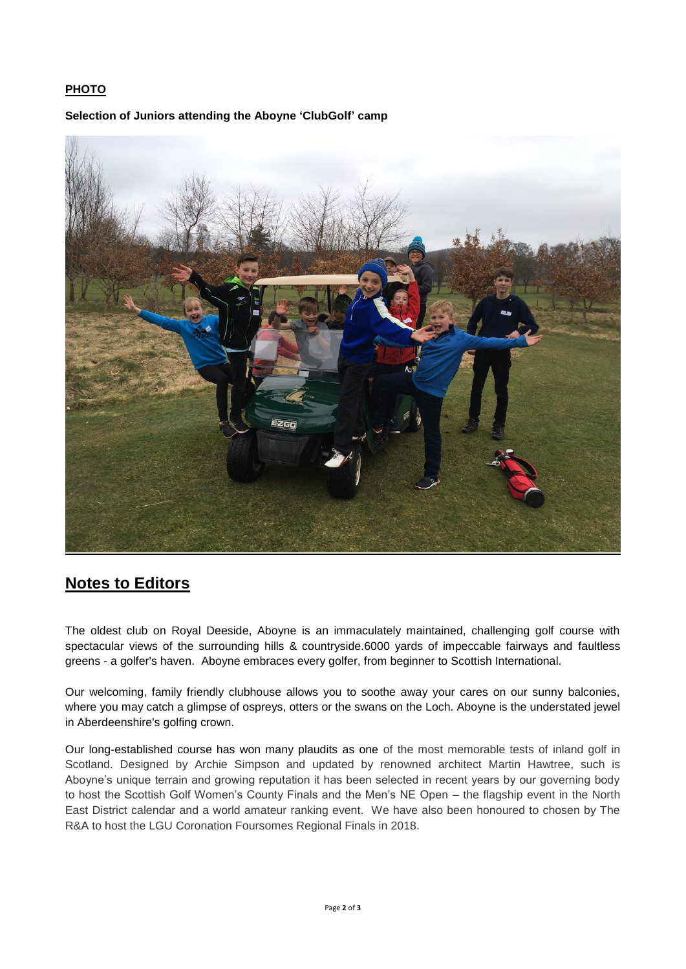### **PHOTO**

#### **Selection of Juniors attending the Aboyne 'ClubGolf' camp**



## **Notes to Editors**

The oldest club on Royal Deeside, Aboyne is an immaculately maintained, challenging golf course with spectacular views of the surrounding hills & countryside.6000 yards of impeccable fairways and faultless greens - a golfer's haven. Aboyne embraces every golfer, from beginner to Scottish International.

Our welcoming, family friendly clubhouse allows you to soothe away your cares on our sunny balconies, where you may catch a glimpse of ospreys, otters or the swans on the Loch. Aboyne is the understated jewel in Aberdeenshire's golfing crown.

Our long-established course has won many plaudits as one of the most memorable tests of inland golf in Scotland. Designed by Archie Simpson and updated by renowned architect Martin Hawtree, such is Aboyne's unique terrain and growing reputation it has been selected in recent years by our governing body to host the Scottish Golf Women's County Finals and the Men's NE Open – the flagship event in the North East District calendar and a world amateur ranking event. We have also been honoured to chosen by The R&A to host the LGU Coronation Foursomes Regional Finals in 2018.